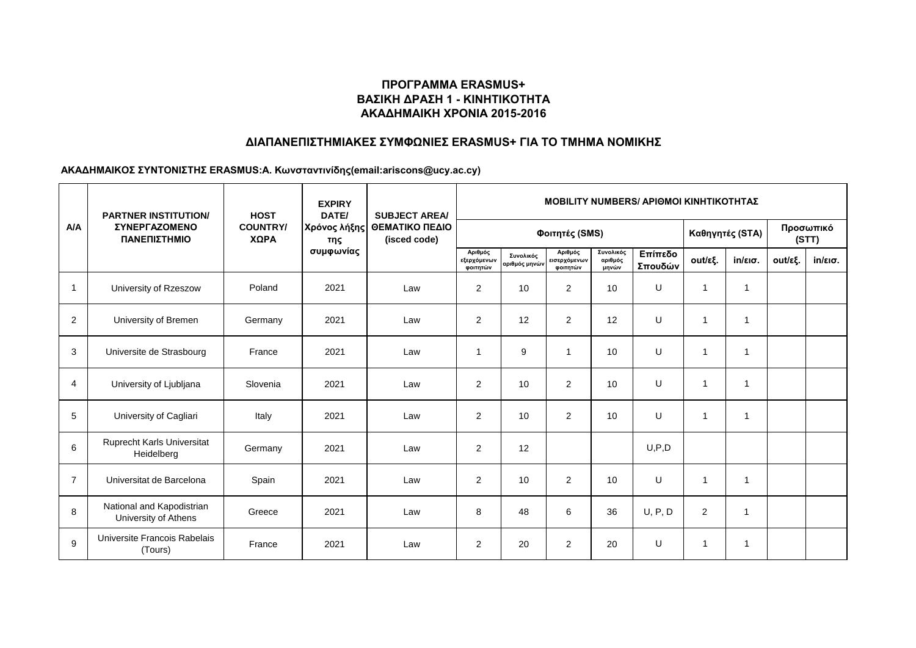# **ΔΙΑΠΑΝΕΠΙΣΤΗΜΙΑΚΕΣ ΣΥΜΦΩΝΙΕΣ ERASMUS+ ΓΙΑ ΤΟ ΤΜΗΜΑ ΝΟΜΙΚΗΣ**

|                | <b>PARTNER INSTITUTION/</b><br>ΣΥΝΕΡΓΑΖΟΜΕΝΟ<br>ΠΑΝΕΠΙΣΤΗΜΙΟ | <b>HOST</b><br><b>COUNTRY/</b><br>ΧΩΡΑ | <b>EXPIRY</b><br>DATE/           | <b>SUBJECT AREA/</b><br>ΘΕΜΑΤΙΚΟ ΠΕΔΙΟ<br>(isced code) | <b>MOBILITY NUMBERS/ APIOMOI KINHTIKOTHTAZ</b> |                            |                                     |                               |                    |                         |                   |                    |                   |  |
|----------------|--------------------------------------------------------------|----------------------------------------|----------------------------------|--------------------------------------------------------|------------------------------------------------|----------------------------|-------------------------------------|-------------------------------|--------------------|-------------------------|-------------------|--------------------|-------------------|--|
| A/A            |                                                              |                                        | Χρόνος λήξης<br>της<br>συμφωνίας |                                                        | Φοιτητές (SMS)                                 |                            |                                     |                               |                    |                         | Καθηγητές (STA)   | Προσωπικό<br>(STT) |                   |  |
|                |                                                              |                                        |                                  |                                                        | Αριθμός<br>εξερχόμενων<br>φοιτητών             | Συνολικός<br>αριθμός μηνών | Αριθμός<br>εισερχόμενων<br>φοιτητών | Συνολικός<br>αριθμός<br>μηνών | Επίπεδο<br>Σπουδών | out/εξ.                 | $in/\epsilon$ ισ. | out/εξ.            | $in/\epsilon$ ισ. |  |
| $\mathbf{1}$   | University of Rzeszow                                        | Poland                                 | 2021                             | Law                                                    | 2                                              | 10                         | $\overline{2}$                      | 10                            | U                  | 1                       | $\overline{1}$    |                    |                   |  |
| 2              | University of Bremen                                         | Germany                                | 2021                             | Law                                                    | 2                                              | 12                         | $\overline{2}$                      | 12                            | U                  | 1                       | -1                |                    |                   |  |
| 3              | Universite de Strasbourg                                     | France                                 | 2021                             | Law                                                    | 1                                              | 9                          | 1                                   | 10                            | U                  | $\overline{1}$          | 1                 |                    |                   |  |
| 4              | University of Ljubljana                                      | Slovenia                               | 2021                             | Law                                                    | 2                                              | 10                         | $\overline{2}$                      | 10                            | U                  | $\overline{1}$          | $\mathbf 1$       |                    |                   |  |
| 5              | University of Cagliari                                       | Italy                                  | 2021                             | Law                                                    | 2                                              | 10                         | $\overline{2}$                      | 10                            | $\cup$             | $\overline{1}$          | $\overline{1}$    |                    |                   |  |
| 6              | Ruprecht Karls Universitat<br>Heidelberg                     | Germany                                | 2021                             | Law                                                    | 2                                              | 12                         |                                     |                               | U, P, D            |                         |                   |                    |                   |  |
| $\overline{7}$ | Universitat de Barcelona                                     | Spain                                  | 2021                             | Law                                                    | 2                                              | 10                         | 2                                   | 10                            | U                  | -1                      | -1                |                    |                   |  |
| 8              | National and Kapodistrian<br>University of Athens            | Greece                                 | 2021                             | Law                                                    | 8                                              | 48                         | 6                                   | 36                            | U, P, D            | 2                       | 1                 |                    |                   |  |
| 9              | Universite Francois Rabelais<br>(Tours)                      | France                                 | 2021                             | Law                                                    | 2                                              | 20                         | $\overline{2}$                      | 20                            | U                  | $\overline{\mathbf{1}}$ | $\mathbf 1$       |                    |                   |  |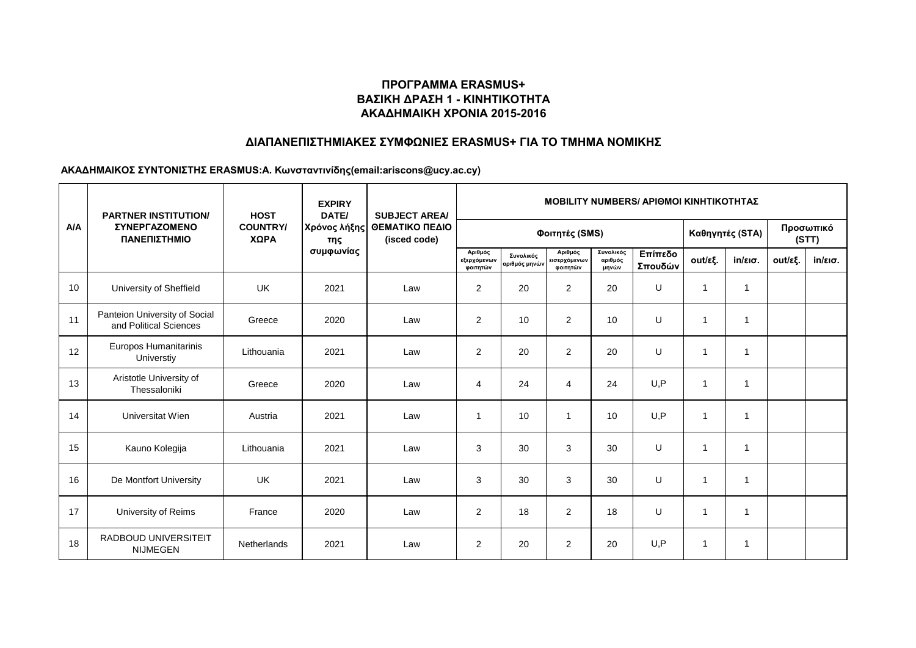# **ΔΙΑΠΑΝΕΠΙΣΤΗΜΙΑΚΕΣ ΣΥΜΦΩΝΙΕΣ ERASMUS+ ΓΙΑ ΤΟ ΤΜΗΜΑ ΝΟΜΙΚΗΣ**

|     | <b>PARTNER INSTITUTION/</b><br><b><i>ΣΥΝΕΡΓΑΖΟΜΕΝΟ</i></b><br>ΠΑΝΕΠΙΣΤΗΜΙΟ | <b>HOST</b><br><b>COUNTRY/</b><br>ΧΩΡΑ | <b>EXPIRY</b><br>DATE/           | <b>SUBJECT AREA/</b><br>ΘΕΜΑΤΙΚΟ ΠΕΔΙΟ<br>(isced code) | <b>MOBILITY NUMBERS/ APIOMOI KINHTIKOTHTAZ</b> |                            |                                     |                               |                    |                |                   |                    |                   |  |
|-----|----------------------------------------------------------------------------|----------------------------------------|----------------------------------|--------------------------------------------------------|------------------------------------------------|----------------------------|-------------------------------------|-------------------------------|--------------------|----------------|-------------------|--------------------|-------------------|--|
| A/A |                                                                            |                                        | Χρόνος λήξης<br>της<br>συμφωνίας |                                                        | Φοιτητές (SMS)                                 |                            |                                     |                               |                    |                | Καθηγητές (STA)   | Προσωπικό<br>(STT) |                   |  |
|     |                                                                            |                                        |                                  |                                                        | Αριθμός<br>εξερχόμενων<br>φοιτητών             | Συνολικός<br>αριθμός μηνών | Αριθμός<br>εισερχόμενων<br>φοιτητών | Συνολικός<br>αριθμός<br>μηνών | Επίπεδο<br>Σπουδών | out/εξ.        | $in/\epsilon$ ισ. | out/εξ.            | $in/\epsilon$ ισ. |  |
| 10  | University of Sheffield                                                    | UK                                     | 2021                             | Law                                                    | 2                                              | 20                         | $\overline{2}$                      | 20                            | U                  | $\overline{1}$ | 1                 |                    |                   |  |
| 11  | Panteion University of Social<br>and Political Sciences                    | Greece                                 | 2020                             | Law                                                    | 2                                              | 10                         | $\overline{2}$                      | 10                            | U                  | -1             | -1                |                    |                   |  |
| 12  | Europos Humanitarinis<br>Universtiy                                        | Lithouania                             | 2021                             | Law                                                    | 2                                              | 20                         | $\overline{2}$                      | 20                            | U                  | $\overline{1}$ | $\mathbf 1$       |                    |                   |  |
| 13  | Aristotle University of<br>Thessaloniki                                    | Greece                                 | 2020                             | Law                                                    | 4                                              | 24                         | 4                                   | 24                            | U, P               | $\overline{1}$ | $\mathbf 1$       |                    |                   |  |
| 14  | Universitat Wien                                                           | Austria                                | 2021                             | Law                                                    | -1                                             | 10                         | $\overline{1}$                      | 10                            | U, P               | $\overline{1}$ | $\overline{1}$    |                    |                   |  |
| 15  | Kauno Kolegija                                                             | Lithouania                             | 2021                             | Law                                                    | 3                                              | 30                         | 3                                   | 30                            | U                  | $\overline{1}$ | $\overline{1}$    |                    |                   |  |
| 16  | De Montfort University                                                     | <b>UK</b>                              | 2021                             | Law                                                    | 3                                              | 30                         | 3                                   | 30                            | $\cup$             | $\overline{1}$ | -1                |                    |                   |  |
| 17  | University of Reims                                                        | France                                 | 2020                             | Law                                                    | 2                                              | 18                         | $\overline{2}$                      | 18                            | U                  | $\overline{1}$ | 1                 |                    |                   |  |
| 18  | <b>RADBOUD UNIVERSITEIT</b><br><b>NIJMEGEN</b>                             | Netherlands                            | 2021                             | Law                                                    | 2                                              | 20                         | $\overline{2}$                      | 20                            | U, P               | $\overline{1}$ | $\overline{1}$    |                    |                   |  |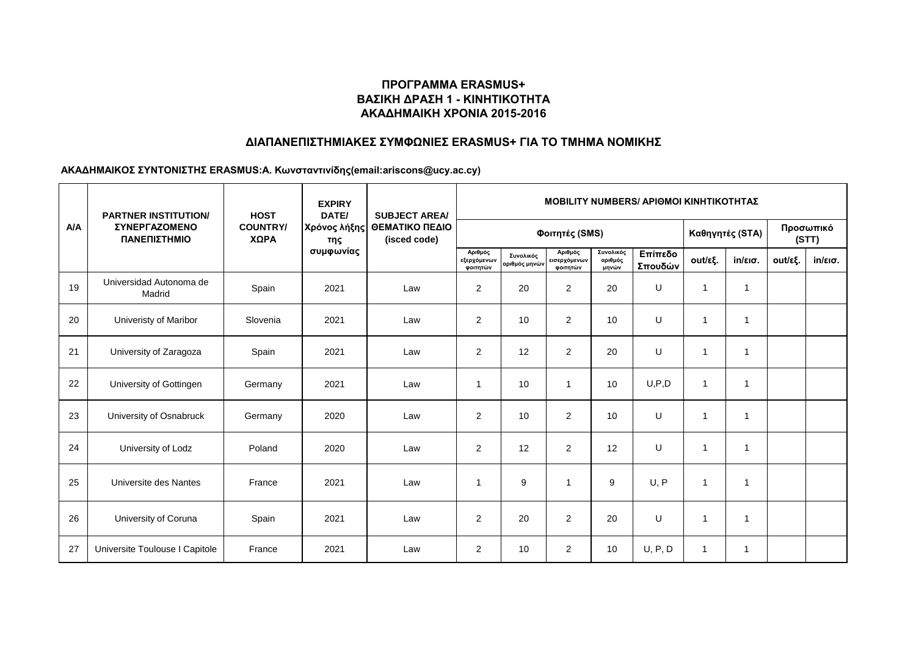# **ΔΙΑΠΑΝΕΠΙΣΤΗΜΙΑΚΕΣ ΣΥΜΦΩΝΙΕΣ ERASMUS+ ΓΙΑ ΤΟ ΤΜΗΜΑ ΝΟΜΙΚΗΣ**

|     | <b>PARTNER INSTITUTION/</b><br><b><i>ΣΥΝΕΡΓΑΖΟΜΕΝΟ</i></b><br>ΠΑΝΕΠΙΣΤΗΜΙΟ | <b>HOST</b><br><b>COUNTRY/</b><br>ΧΩΡΑ | <b>EXPIRY</b><br>DATE/           | <b>SUBJECT AREA/</b><br>ΘΕΜΑΤΙΚΟ ΠΕΔΙΟ<br>(isced code) | <b>MOBILITY NUMBERS/ APIOMOI KINHTIKOTHTAZ</b> |                            |                                     |                               |                    |                |                   |         |                    |  |
|-----|----------------------------------------------------------------------------|----------------------------------------|----------------------------------|--------------------------------------------------------|------------------------------------------------|----------------------------|-------------------------------------|-------------------------------|--------------------|----------------|-------------------|---------|--------------------|--|
| A/A |                                                                            |                                        | Χρόνος λήξης<br>της<br>συμφωνίας |                                                        | Φοιτητές (SMS)                                 |                            |                                     |                               |                    |                | Καθηγητές (STA)   |         | Προσωπικό<br>(STT) |  |
|     |                                                                            |                                        |                                  |                                                        | Αριθμός<br>εξερχόμενων<br>φοιτητών             | Συνολικός<br>αριθμός μηνών | Αριθμός<br>εισερχόμενων<br>φοιτητών | Συνολικός<br>αριθμός<br>μηνών | Επίπεδο<br>Σπουδών | out/εξ.        | $in/\epsilon$ ισ. | out/εξ. | $in/\epsilon$ ισ.  |  |
| 19  | Universidad Autonoma de<br>Madrid                                          | Spain                                  | 2021                             | Law                                                    | $\overline{2}$                                 | 20                         | $\overline{2}$                      | 20                            | U                  | $\overline{1}$ | -1                |         |                    |  |
| 20  | Univeristy of Maribor                                                      | Slovenia                               | 2021                             | Law                                                    | $\overline{c}$                                 | 10                         | $\overline{2}$                      | 10                            | U                  | 1              | $\overline{1}$    |         |                    |  |
| 21  | University of Zaragoza                                                     | Spain                                  | 2021                             | Law                                                    | $\overline{2}$                                 | 12                         | $\overline{2}$                      | 20                            | U                  | $\overline{1}$ | $\overline{1}$    |         |                    |  |
| 22  | University of Gottingen                                                    | Germany                                | 2021                             | Law                                                    | 1                                              | 10                         | $\mathbf{1}$                        | 10                            | U, P, D            | $\mathbf{1}$   | -1                |         |                    |  |
| 23  | University of Osnabruck                                                    | Germany                                | 2020                             | Law                                                    | 2                                              | 10                         | $\overline{2}$                      | 10                            | U                  | $\mathbf{1}$   | $\overline{1}$    |         |                    |  |
| 24  | University of Lodz                                                         | Poland                                 | 2020                             | Law                                                    | $\overline{2}$                                 | 12                         | $\overline{2}$                      | 12                            | U                  | $\overline{1}$ | 1                 |         |                    |  |
| 25  | Universite des Nantes                                                      | France                                 | 2021                             | Law                                                    | 1                                              | 9                          | $\overline{1}$                      | 9                             | U, P               | $\overline{1}$ | $\overline{1}$    |         |                    |  |
| 26  | University of Coruna                                                       | Spain                                  | 2021                             | Law                                                    | $\overline{2}$                                 | 20                         | $\overline{2}$                      | 20                            | $\cup$             | $\mathbf{1}$   | $\overline{1}$    |         |                    |  |
| 27  | Universite Toulouse I Capitole                                             | France                                 | 2021                             | Law                                                    | $\overline{2}$                                 | 10                         | $\overline{2}$                      | 10                            | U, P, D            | $\mathbf 1$    | -1                |         |                    |  |